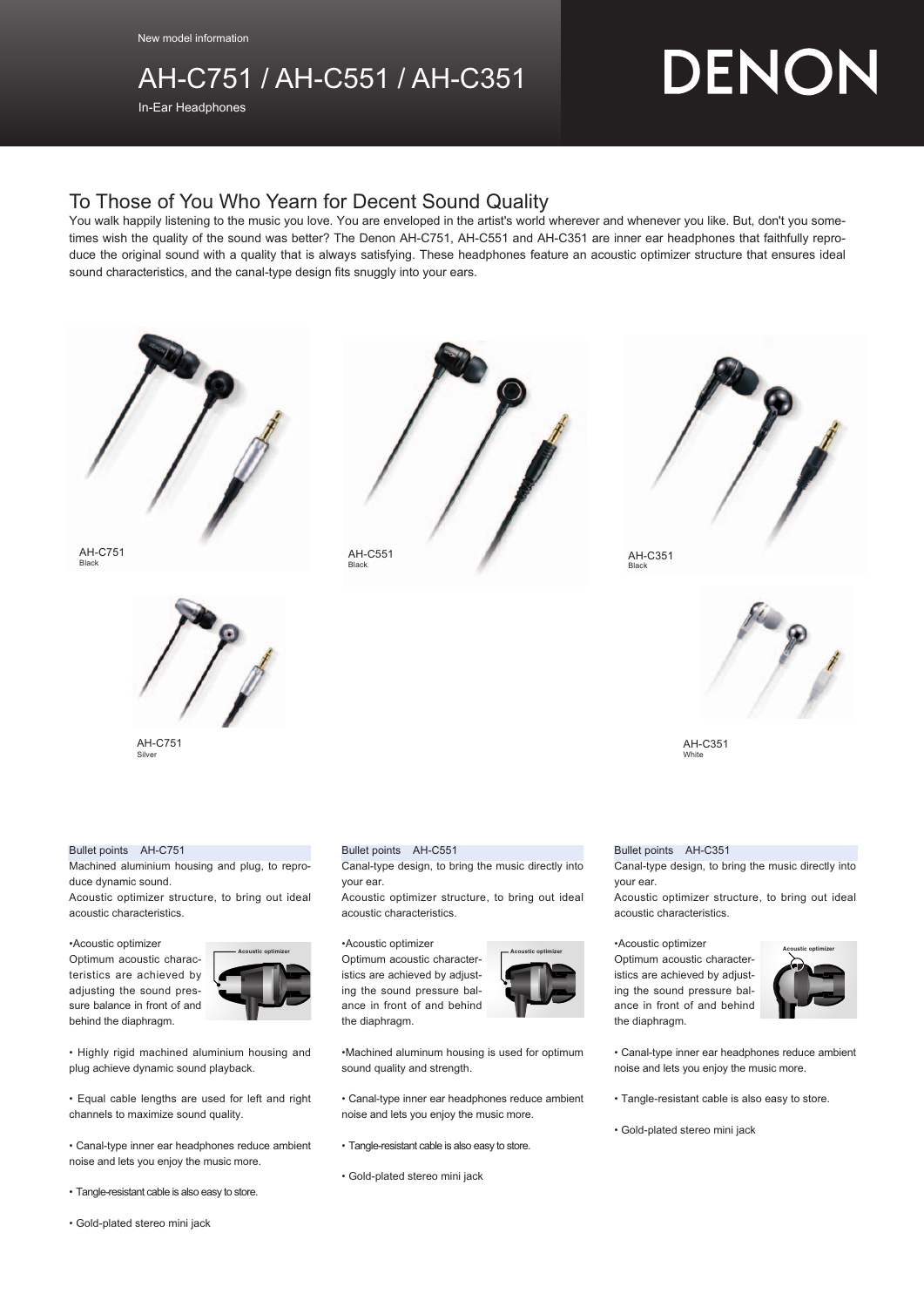## AH-C751 / AH-C551 / AH-C351

In-Ear Headphones

# DENON

### To Those of You Who Yearn for Decent Sound Quality

You walk happily listening to the music you love. You are enveloped in the artist's world wherever and whenever you like. But, don't you sometimes wish the quality of the sound was better? The Denon AH-C751, AH-C551 and AH-C351 are inner ear headphones that faithfully reproduce the original sound with a quality that is always satisfying. These headphones feature an acoustic optimizer structure that ensures ideal sound characteristics, and the canal-type design fits snuggly into your ears.



AH-C751 Black AH-C551 Black



AH-C751 Silve

#### Bullet points AH-C751

Machined aluminium housing and plug, to reproduce dynamic sound.

Acoustic optimizer structure, to bring out ideal acoustic characteristics.

•Acoustic optimizer

Optimum acoustic characteristics are achieved by adjusting the sound pressure balance in front of and behind the diaphragm.



• Highly rigid machined aluminium housing and plug achieve dynamic sound playback.

• Equal cable lengths are used for left and right channels to maximize sound quality.

• Canal-type inner ear headphones reduce ambient noise and lets you enjoy the music more.

- Tangle-resistant cable is also easy to store.
- Gold-plated stereo mini jack

#### Bullet points AH-C551

Canal-type design, to bring the music directly into your ear.

Acoustic optimizer structure, to bring out ideal acoustic characteristics.

#### •Acoustic optimizer

Optimum acoustic characteristics are achieved by adjusting the sound pressure balance in front of and behind the diaphragm.



•Machined aluminum housing is used for optimum sound quality and strength.

- Canal-type inner ear headphones reduce ambient noise and lets you enjoy the music more.
- Tangle-resistant cable is also easy to store.
- Gold-plated stereo mini jack





AH-C351<br><sub>Black</sub>



AH-C351 White

#### Bullet points AH-C351

Canal-type design, to bring the music directly into your ear.

Acoustic optimizer structure, to bring out ideal acoustic characteristics.

#### •Acoustic optimizer

Optimum acoustic characteristics are achieved by adjusting the sound pressure balance in front of and behind the diaphragm. **Acoustic optimizer Acoustic optimizer Acoustic optimizer**



• Canal-type inner ear headphones reduce ambient noise and lets you enjoy the music more.

- Tangle-resistant cable is also easy to store.
- Gold-plated stereo mini jack